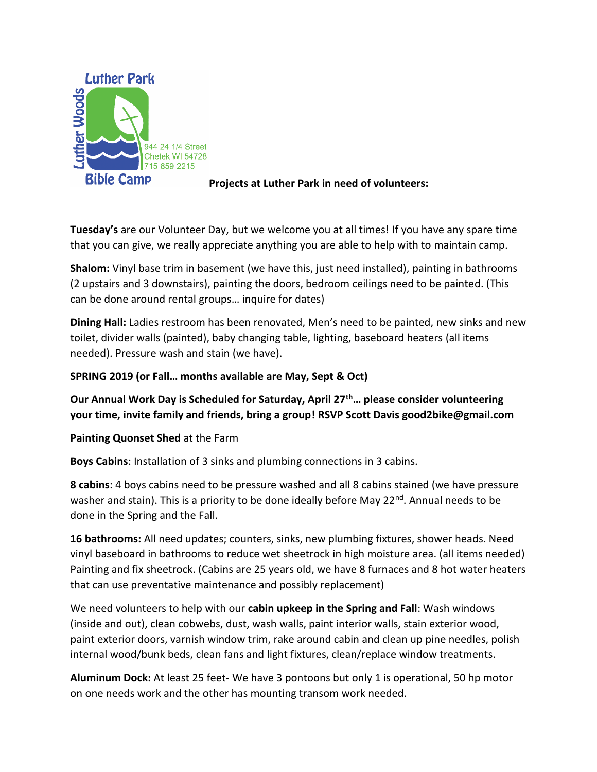

## **Projects at Luther Park in need of volunteers:**

**Tuesday's** are our Volunteer Day, but we welcome you at all times! If you have any spare time that you can give, we really appreciate anything you are able to help with to maintain camp.

**Shalom:** Vinyl base trim in basement (we have this, just need installed), painting in bathrooms (2 upstairs and 3 downstairs), painting the doors, bedroom ceilings need to be painted. (This can be done around rental groups… inquire for dates)

**Dining Hall:** Ladies restroom has been renovated, Men's need to be painted, new sinks and new toilet, divider walls (painted), baby changing table, lighting, baseboard heaters (all items needed). Pressure wash and stain (we have).

## **SPRING 2019 (or Fall… months available are May, Sept & Oct)**

## **Our Annual Work Day is Scheduled for Saturday, April 27th… please consider volunteering your time, invite family and friends, bring a group! RSVP Scott Davis good2bike@gmail.com**

**Painting Quonset Shed** at the Farm

**Boys Cabins**: Installation of 3 sinks and plumbing connections in 3 cabins.

**8 cabins**: 4 boys cabins need to be pressure washed and all 8 cabins stained (we have pressure washer and stain). This is a priority to be done ideally before May 22<sup>nd</sup>. Annual needs to be done in the Spring and the Fall.

**16 bathrooms:** All need updates; counters, sinks, new plumbing fixtures, shower heads. Need vinyl baseboard in bathrooms to reduce wet sheetrock in high moisture area. (all items needed) Painting and fix sheetrock. (Cabins are 25 years old, we have 8 furnaces and 8 hot water heaters that can use preventative maintenance and possibly replacement)

We need volunteers to help with our **cabin upkeep in the Spring and Fall**: Wash windows (inside and out), clean cobwebs, dust, wash walls, paint interior walls, stain exterior wood, paint exterior doors, varnish window trim, rake around cabin and clean up pine needles, polish internal wood/bunk beds, clean fans and light fixtures, clean/replace window treatments.

**Aluminum Dock:** At least 25 feet- We have 3 pontoons but only 1 is operational, 50 hp motor on one needs work and the other has mounting transom work needed.